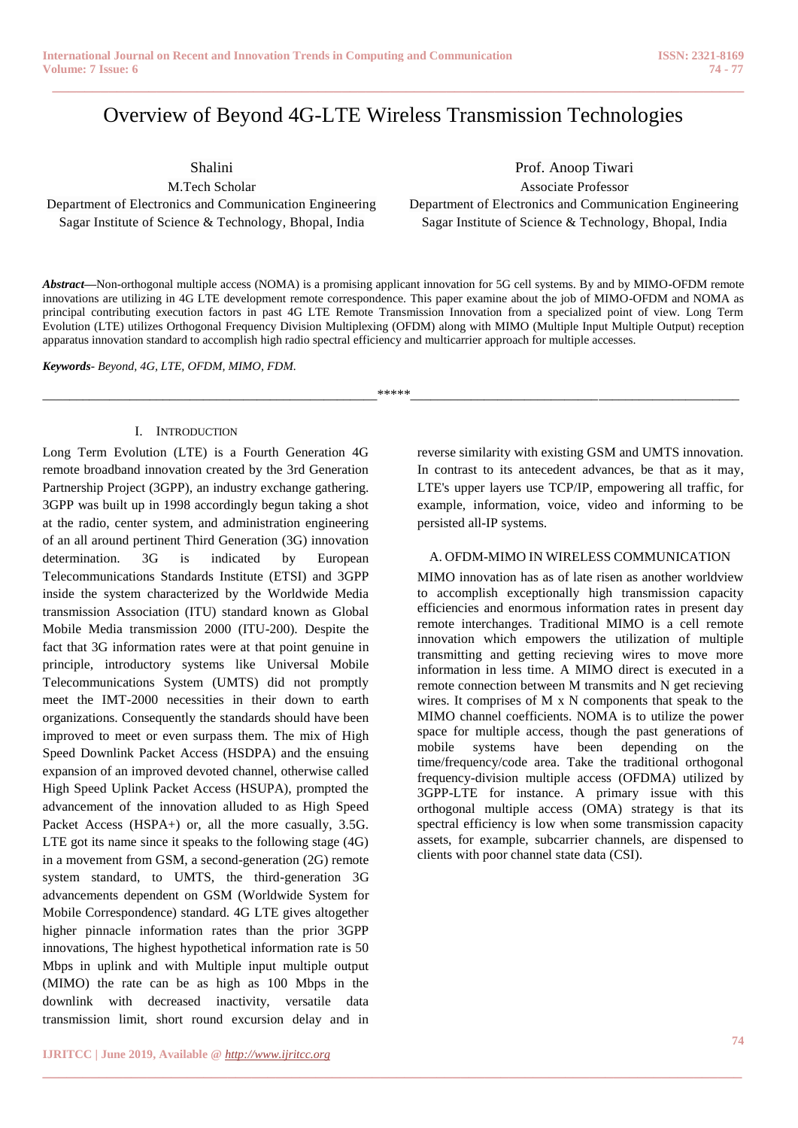# Overview of Beyond 4G-LTE Wireless Transmission Technologies

**\_\_\_\_\_\_\_\_\_\_\_\_\_\_\_\_\_\_\_\_\_\_\_\_\_\_\_\_\_\_\_\_\_\_\_\_\_\_\_\_\_\_\_\_\_\_\_\_\_\_\_\_\_\_\_\_\_\_\_\_\_\_\_\_\_\_\_\_\_\_\_\_\_\_\_\_\_\_\_\_\_\_\_\_\_\_**

Shalini

M.Tech Scholar Department of Electronics and Communication Engineering Sagar Institute of Science & Technology, Bhopal, India

Prof. Anoop Tiwari Associate Professor Department of Electronics and Communication Engineering Sagar Institute of Science & Technology, Bhopal, India

*Abstract***—**Non-orthogonal multiple access (NOMA) is a promising applicant innovation for 5G cell systems. By and by MIMO-OFDM remote innovations are utilizing in 4G LTE development remote correspondence. This paper examine about the job of MIMO-OFDM and NOMA as principal contributing execution factors in past 4G LTE Remote Transmission Innovation from a specialized point of view. Long Term Evolution (LTE) utilizes Orthogonal Frequency Division Multiplexing (OFDM) along with MIMO (Multiple Input Multiple Output) reception apparatus innovation standard to accomplish high radio spectral efficiency and multicarrier approach for multiple accesses.

*Keywords- Beyond, 4G, LTE, OFDM, MIMO, FDM.*

\_\_\_\_\_\_\_\_\_\_\_\_\_\_\_\_\_\_\_\_\_\_\_\_\_\_\_\_\_\_\_\_\_\_\_\_\_\_\_\_\_\_\_\_\_\_\_\_\_\_\*\*\*\*\*\_\_\_\_\_\_\_\_\_\_\_\_\_\_\_\_\_\_\_\_\_\_\_\_\_\_\_\_\_\_\_\_\_\_\_\_\_\_\_\_\_\_\_\_\_\_\_\_\_

**\_\_\_\_\_\_\_\_\_\_\_\_\_\_\_\_\_\_\_\_\_\_\_\_\_\_\_\_\_\_\_\_\_\_\_\_\_\_\_\_\_\_\_\_\_\_\_\_\_\_\_\_\_\_\_\_\_\_\_\_\_\_\_\_\_\_\_\_\_\_\_\_\_\_\_\_\_\_\_\_\_\_\_\_\_\_\_**

#### I. INTRODUCTION

Long Term Evolution (LTE) is a Fourth Generation 4G remote broadband innovation created by the 3rd Generation Partnership Project (3GPP), an industry exchange gathering. 3GPP was built up in 1998 accordingly begun taking a shot at the radio, center system, and administration engineering of an all around pertinent Third Generation (3G) innovation determination. 3G is indicated by European Telecommunications Standards Institute (ETSI) and 3GPP inside the system characterized by the Worldwide Media transmission Association (ITU) standard known as Global Mobile Media transmission 2000 (ITU-200). Despite the fact that 3G information rates were at that point genuine in principle, introductory systems like Universal Mobile Telecommunications System (UMTS) did not promptly meet the IMT-2000 necessities in their down to earth organizations. Consequently the standards should have been improved to meet or even surpass them. The mix of High Speed Downlink Packet Access (HSDPA) and the ensuing expansion of an improved devoted channel, otherwise called High Speed Uplink Packet Access (HSUPA), prompted the advancement of the innovation alluded to as High Speed Packet Access (HSPA+) or, all the more casually, 3.5G. LTE got its name since it speaks to the following stage (4G) in a movement from GSM, a second-generation (2G) remote system standard, to UMTS, the third-generation 3G advancements dependent on GSM (Worldwide System for Mobile Correspondence) standard. 4G LTE gives altogether higher pinnacle information rates than the prior 3GPP innovations, The highest hypothetical information rate is 50 Mbps in uplink and with Multiple input multiple output (MIMO) the rate can be as high as 100 Mbps in the downlink with decreased inactivity, versatile data transmission limit, short round excursion delay and in

reverse similarity with existing GSM and UMTS innovation. In contrast to its antecedent advances, be that as it may, LTE's upper layers use TCP/IP, empowering all traffic, for example, information, voice, video and informing to be persisted all-IP systems.

#### A. OFDM-MIMO IN WIRELESS COMMUNICATION

MIMO innovation has as of late risen as another worldview to accomplish exceptionally high transmission capacity efficiencies and enormous information rates in present day remote interchanges. Traditional MIMO is a cell remote innovation which empowers the utilization of multiple transmitting and getting recieving wires to move more information in less time. A MIMO direct is executed in a remote connection between M transmits and N get recieving wires. It comprises of M x N components that speak to the MIMO channel coefficients. NOMA is to utilize the power space for multiple access, though the past generations of mobile systems have been depending on the time/frequency/code area. Take the traditional orthogonal frequency-division multiple access (OFDMA) utilized by 3GPP-LTE for instance. A primary issue with this orthogonal multiple access (OMA) strategy is that its spectral efficiency is low when some transmission capacity assets, for example, subcarrier channels, are dispensed to clients with poor channel state data (CSI).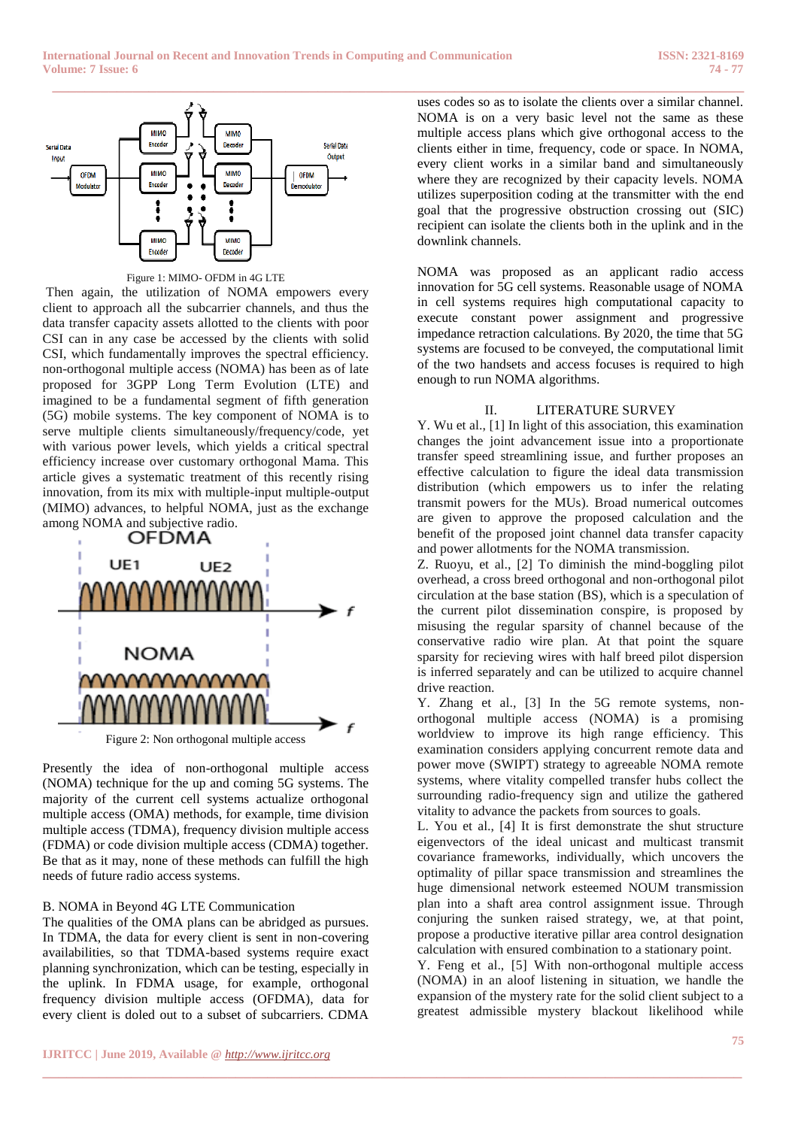

Figure 1: MIMO- OFDM in 4G LTE

Then again, the utilization of NOMA empowers every client to approach all the subcarrier channels, and thus the data transfer capacity assets allotted to the clients with poor CSI can in any case be accessed by the clients with solid CSI, which fundamentally improves the spectral efficiency. non-orthogonal multiple access (NOMA) has been as of late proposed for 3GPP Long Term Evolution (LTE) and imagined to be a fundamental segment of fifth generation (5G) mobile systems. The key component of NOMA is to serve multiple clients simultaneously/frequency/code, yet with various power levels, which yields a critical spectral efficiency increase over customary orthogonal Mama. This article gives a systematic treatment of this recently rising innovation, from its mix with multiple-input multiple-output (MIMO) advances, to helpful NOMA, just as the exchange among NOMA and subjective radio.<br> **OFDMA** 



Figure 2: Non orthogonal multiple access

Presently the idea of non-orthogonal multiple access (NOMA) technique for the up and coming 5G systems. The majority of the current cell systems actualize orthogonal multiple access (OMA) methods, for example, time division multiple access (TDMA), frequency division multiple access (FDMA) or code division multiple access (CDMA) together. Be that as it may, none of these methods can fulfill the high needs of future radio access systems.

## B. NOMA in Beyond 4G LTE Communication

The qualities of the OMA plans can be abridged as pursues. In TDMA, the data for every client is sent in non-covering availabilities, so that TDMA-based systems require exact planning synchronization, which can be testing, especially in the uplink. In FDMA usage, for example, orthogonal frequency division multiple access (OFDMA), data for every client is doled out to a subset of subcarriers. CDMA

**\_\_\_\_\_\_\_\_\_\_\_\_\_\_\_\_\_\_\_\_\_\_\_\_\_\_\_\_\_\_\_\_\_\_\_\_\_\_\_\_\_\_\_\_\_\_\_\_\_\_\_\_\_\_\_\_\_\_\_\_\_\_\_\_\_\_\_\_\_\_\_\_\_\_\_\_\_\_\_\_\_\_\_\_\_\_\_**

uses codes so as to isolate the clients over a similar channel. NOMA is on a very basic level not the same as these multiple access plans which give orthogonal access to the clients either in time, frequency, code or space. In NOMA, every client works in a similar band and simultaneously where they are recognized by their capacity levels. NOMA utilizes superposition coding at the transmitter with the end goal that the progressive obstruction crossing out (SIC) recipient can isolate the clients both in the uplink and in the downlink channels.

NOMA was proposed as an applicant radio access innovation for 5G cell systems. Reasonable usage of NOMA in cell systems requires high computational capacity to execute constant power assignment and progressive impedance retraction calculations. By 2020, the time that 5G systems are focused to be conveyed, the computational limit of the two handsets and access focuses is required to high enough to run NOMA algorithms.

# II. LITERATURE SURVEY

Y. Wu et al., [1] In light of this association, this examination changes the joint advancement issue into a proportionate transfer speed streamlining issue, and further proposes an effective calculation to figure the ideal data transmission distribution (which empowers us to infer the relating transmit powers for the MUs). Broad numerical outcomes are given to approve the proposed calculation and the benefit of the proposed joint channel data transfer capacity and power allotments for the NOMA transmission.

Z. Ruoyu, et al., [2] To diminish the mind-boggling pilot overhead, a cross breed orthogonal and non-orthogonal pilot circulation at the base station (BS), which is a speculation of the current pilot dissemination conspire, is proposed by misusing the regular sparsity of channel because of the conservative radio wire plan. At that point the square sparsity for recieving wires with half breed pilot dispersion is inferred separately and can be utilized to acquire channel drive reaction.

Y. Zhang et al., [3] In the 5G remote systems, nonorthogonal multiple access (NOMA) is a promising worldview to improve its high range efficiency. This examination considers applying concurrent remote data and power move (SWIPT) strategy to agreeable NOMA remote systems, where vitality compelled transfer hubs collect the surrounding radio-frequency sign and utilize the gathered vitality to advance the packets from sources to goals.

L. You et al., [4] It is first demonstrate the shut structure eigenvectors of the ideal unicast and multicast transmit covariance frameworks, individually, which uncovers the optimality of pillar space transmission and streamlines the huge dimensional network esteemed NOUM transmission plan into a shaft area control assignment issue. Through conjuring the sunken raised strategy, we, at that point, propose a productive iterative pillar area control designation calculation with ensured combination to a stationary point.

Y. Feng et al., [5] With non-orthogonal multiple access (NOMA) in an aloof listening in situation, we handle the expansion of the mystery rate for the solid client subject to a greatest admissible mystery blackout likelihood while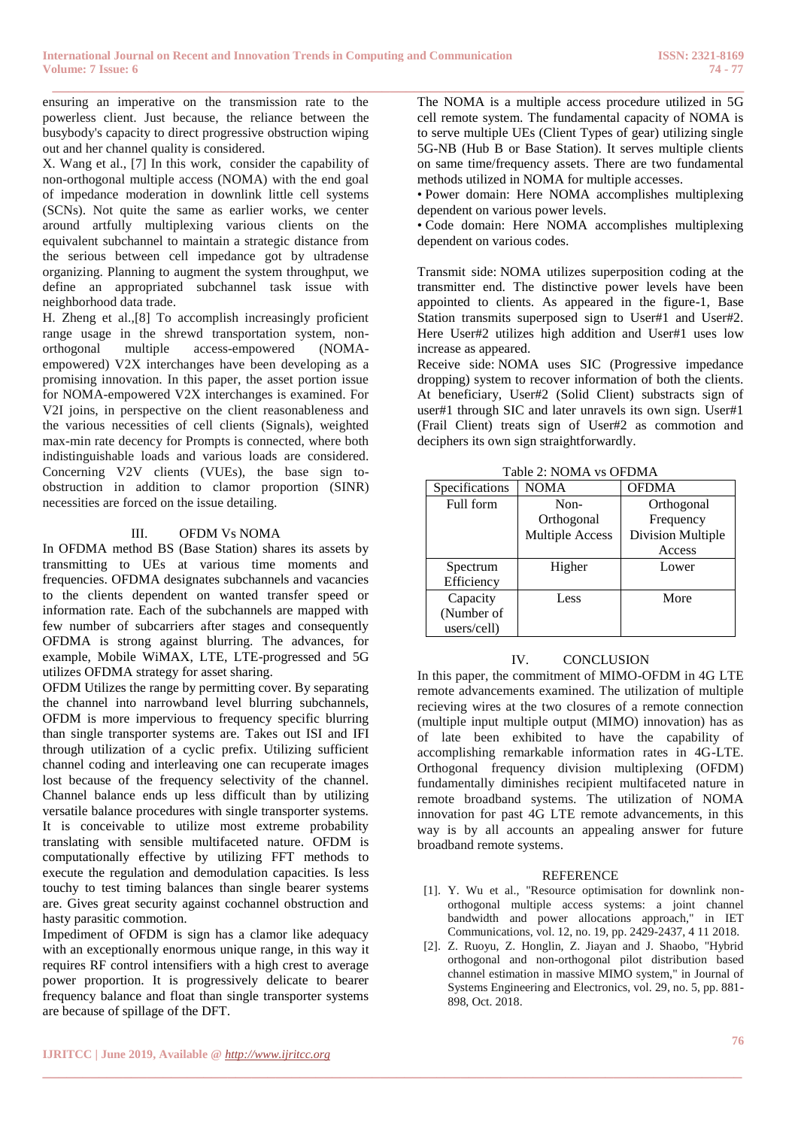ensuring an imperative on the transmission rate to the powerless client. Just because, the reliance between the busybody's capacity to direct progressive obstruction wiping out and her channel quality is considered.

X. Wang et al., [7] In this work, consider the capability of non-orthogonal multiple access (NOMA) with the end goal of impedance moderation in downlink little cell systems (SCNs). Not quite the same as earlier works, we center around artfully multiplexing various clients on the equivalent subchannel to maintain a strategic distance from the serious between cell impedance got by ultradense organizing. Planning to augment the system throughput, we define an appropriated subchannel task issue with neighborhood data trade.

H. Zheng et al.,[8] To accomplish increasingly proficient range usage in the shrewd transportation system, nonorthogonal multiple access-empowered (NOMAempowered) V2X interchanges have been developing as a promising innovation. In this paper, the asset portion issue for NOMA-empowered V2X interchanges is examined. For V2I joins, in perspective on the client reasonableness and the various necessities of cell clients (Signals), weighted max-min rate decency for Prompts is connected, where both indistinguishable loads and various loads are considered. Concerning V2V clients (VUEs), the base sign toobstruction in addition to clamor proportion (SINR) necessities are forced on the issue detailing.

## III. OFDM Vs NOMA

In OFDMA method BS (Base Station) shares its assets by transmitting to UEs at various time moments and frequencies. OFDMA designates subchannels and vacancies to the clients dependent on wanted transfer speed or information rate. Each of the subchannels are mapped with few number of subcarriers after stages and consequently OFDMA is strong against blurring. The advances, for example, Mobile WiMAX, LTE, LTE-progressed and 5G utilizes OFDMA strategy for asset sharing.

OFDM Utilizes the range by permitting cover. By separating the channel into narrowband level blurring subchannels, OFDM is more impervious to frequency specific blurring than single transporter systems are. Takes out ISI and IFI through utilization of a cyclic prefix. Utilizing sufficient channel coding and interleaving one can recuperate images lost because of the frequency selectivity of the channel. Channel balance ends up less difficult than by utilizing versatile balance procedures with single transporter systems. It is conceivable to utilize most extreme probability translating with sensible multifaceted nature. OFDM is computationally effective by utilizing FFT methods to execute the regulation and demodulation capacities. Is less touchy to test timing balances than single bearer systems are. Gives great security against cochannel obstruction and hasty parasitic commotion.

Impediment of OFDM is sign has a clamor like adequacy with an exceptionally enormous unique range, in this way it requires RF control intensifiers with a high crest to average power proportion. It is progressively delicate to bearer frequency balance and float than single transporter systems are because of spillage of the DFT.

**\_\_\_\_\_\_\_\_\_\_\_\_\_\_\_\_\_\_\_\_\_\_\_\_\_\_\_\_\_\_\_\_\_\_\_\_\_\_\_\_\_\_\_\_\_\_\_\_\_\_\_\_\_\_\_\_\_\_\_\_\_\_\_\_\_\_\_\_\_\_\_\_\_\_\_\_\_\_\_\_\_\_\_\_\_\_\_**

**\_\_\_\_\_\_\_\_\_\_\_\_\_\_\_\_\_\_\_\_\_\_\_\_\_\_\_\_\_\_\_\_\_\_\_\_\_\_\_\_\_\_\_\_\_\_\_\_\_\_\_\_\_\_\_\_\_\_\_\_\_\_\_\_\_\_\_\_\_\_\_\_\_\_\_\_\_\_\_\_\_\_\_\_\_\_** The NOMA is a multiple access procedure utilized in 5G cell remote system. The fundamental capacity of NOMA is to serve multiple UEs (Client Types of gear) utilizing single 5G-NB (Hub B or Base Station). It serves multiple clients on same time/frequency assets. There are two fundamental methods utilized in NOMA for multiple accesses.

• Power domain: Here NOMA accomplishes multiplexing dependent on various power levels.

• Code domain: Here NOMA accomplishes multiplexing dependent on various codes.

Transmit side: NOMA utilizes superposition coding at the transmitter end. The distinctive power levels have been appointed to clients. As appeared in the figure-1, Base Station transmits superposed sign to User#1 and User#2. Here User#2 utilizes high addition and User#1 uses low increase as appeared.

Receive side: NOMA uses SIC (Progressive impedance dropping) system to recover information of both the clients. At beneficiary, User#2 (Solid Client) substracts sign of user#1 through SIC and later unravels its own sign. User#1 (Frail Client) treats sign of User#2 as commotion and deciphers its own sign straightforwardly.

| Table 2: NOMA vs OFDMA |  |
|------------------------|--|
|------------------------|--|

| Specifications | <b>NOMA</b>            | <b>OFDMA</b>      |
|----------------|------------------------|-------------------|
| Full form      | Non-                   | Orthogonal        |
|                | Orthogonal             | Frequency         |
|                | <b>Multiple Access</b> | Division Multiple |
|                |                        | Access            |
| Spectrum       | Higher                 | Lower             |
| Efficiency     |                        |                   |
| Capacity       | Less                   | More              |
| (Number of     |                        |                   |
| users/cell)    |                        |                   |

## IV. CONCLUSION

In this paper, the commitment of MIMO-OFDM in 4G LTE remote advancements examined. The utilization of multiple recieving wires at the two closures of a remote connection (multiple input multiple output (MIMO) innovation) has as of late been exhibited to have the capability of accomplishing remarkable information rates in 4G-LTE. Orthogonal frequency division multiplexing (OFDM) fundamentally diminishes recipient multifaceted nature in remote broadband systems. The utilization of NOMA innovation for past 4G LTE remote advancements, in this way is by all accounts an appealing answer for future broadband remote systems.

## **REFERENCE**

- [1]. Y. Wu et al., "Resource optimisation for downlink nonorthogonal multiple access systems: a joint channel bandwidth and power allocations approach," in IET Communications, vol. 12, no. 19, pp. 2429-2437, 4 11 2018.
- [2]. Z. Ruoyu, Z. Honglin, Z. Jiayan and J. Shaobo, "Hybrid orthogonal and non-orthogonal pilot distribution based channel estimation in massive MIMO system," in Journal of Systems Engineering and Electronics, vol. 29, no. 5, pp. 881- 898, Oct. 2018.